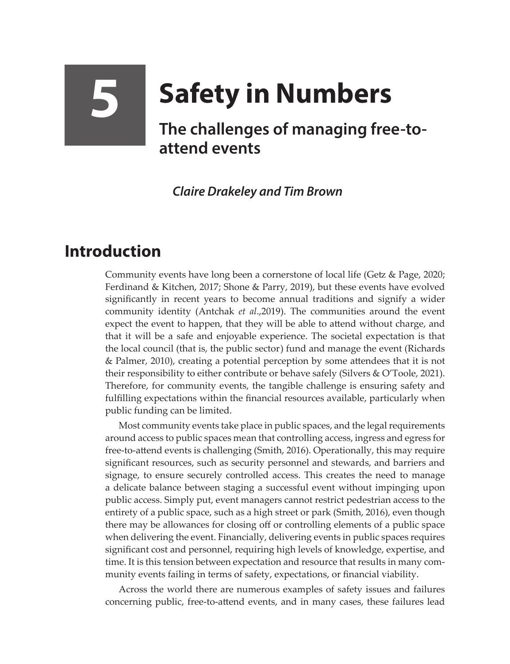## **5 Safety in Numbers The challenges of managing free-toattend events**

*Claire Drakeley and Tim Brown*

## **Introduction**

Community events have long been a cornerstone of local life (Getz & Page, 2020; Ferdinand & Kitchen, 2017; Shone & Parry, 2019), but these events have evolved significantly in recent years to become annual traditions and signify a wider community identity (Antchak *et al*.,2019). The communities around the event expect the event to happen, that they will be able to attend without charge, and that it will be a safe and enjoyable experience. The societal expectation is that the local council (that is, the public sector) fund and manage the event (Richards & Palmer, 2010), creating a potential perception by some attendees that it is not their responsibility to either contribute or behave safely (Silvers & O'Toole, 2021). Therefore, for community events, the tangible challenge is ensuring safety and fulfilling expectations within the financial resources available, particularly when public funding can be limited.

Most community events take place in public spaces, and the legal requirements around access to public spaces mean that controlling access, ingress and egress for free-to-attend events is challenging (Smith, 2016). Operationally, this may require significant resources, such as security personnel and stewards, and barriers and signage, to ensure securely controlled access. This creates the need to manage a delicate balance between staging a successful event without impinging upon public access. Simply put, event managers cannot restrict pedestrian access to the entirety of a public space, such as a high street or park (Smith, 2016), even though there may be allowances for closing off or controlling elements of a public space when delivering the event. Financially, delivering events in public spaces requires significant cost and personnel, requiring high levels of knowledge, expertise, and time. It is this tension between expectation and resource that results in many community events failing in terms of safety, expectations, or financial viability.

Across the world there are numerous examples of safety issues and failures concerning public, free-to-attend events, and in many cases, these failures lead